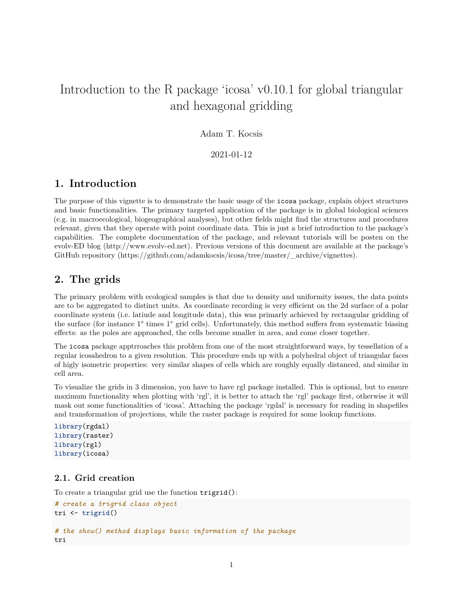# Introduction to the R package 'icosa' v0.10.1 for global triangular and hexagonal gridding

### Adam T. Kocsis

2021-01-12

## **1. Introduction**

The purpose of this vignette is to demonstrate the basic usage of the icosa package, explain object structures and basic functionalities. The primary targeted application of the package is in global biological sciences (e.g. in macroecological, biogeographical analyses), but other fields might find the structures and procedures relevant, given that they operate with point coordinate data. This is just a brief introduction to the package's capabilities. The complete documentation of the package, and relevant tutorials will be posten on the evolv-ED blog [\(http://www.evolv-ed.net\)](http://www.evolv-ed.net). Previous versions of this document are available at the package's GitHub repository [\(https://github.com/adamkocsis/icosa/tree/master/\\_archive/vignettes\)](https://github.com/adamkocsis/icosa/tree/master/_archive/vignettes).

### **2. The grids**

The primary problem with ecological samples is that due to density and uniformity issues, the data points are to be aggregated to distinct units. As coordinate recording is very efficient on the 2d surface of a polar coordinate system (i.e. latiude and longitude data), this was primarly achieved by rectangular gridding of the surface (for instance 1° times 1° grid cells). Unfortunately, this method suffers from systematic biasing effects: as the poles are approached, the cells become smaller in area, and come closer together.

The icosa package apptrroaches this problem from one of the most straightforward ways, by tessellation of a regular icosahedron to a given resolution. This procedure ends up with a polyhedral object of triangular faces of higly isometric properties: very similar shapes of cells which are roughly equally distanced, and similar in cell area.

To visualize the grids in 3 dimension, you have to have rgl package installed. This is optional, but to ensure maximum functionality when plotting with 'rgl', it is better to attach the 'rgl' package first, otherwise it will mask out some functionalities of 'icosa'. Attaching the package 'rgdal' is necessary for reading in shapefiles and transformation of projections, while the raster package is required for some lookup functions.

```
library(rgdal)
library(raster)
library(rgl)
library(icosa)
```
### **2.1. Grid creation**

To create a triangular grid use the function trigrid():

```
# create a trigrid class object
tri <- trigrid()
# the show() method displays basic information of the package
tri
```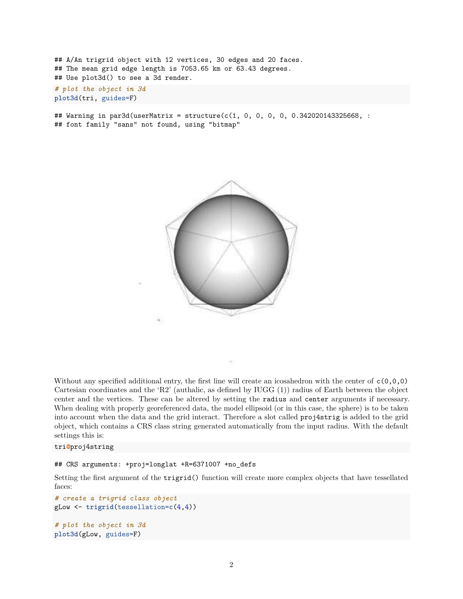## A/An trigrid object with 12 vertices, 30 edges and 20 faces. ## The mean grid edge length is 7053.65 km or 63.43 degrees. ## Use plot3d() to see a 3d render. *# plot the object in 3d* **plot3d**(tri, guides=F)

## Warning in par3d(userMatrix = structure(c(1, 0, 0, 0, 0, 0.342020143325668, : ## font family "sans" not found, using "bitmap"



Without any specified additional entry, the first line will create an icosahedron with the center of  $c(0,0,0)$ Cartesian coordinates and the 'R2' (authalic, as defined by IUGG (1)) radius of Earth between the object center and the vertices. These can be altered by setting the radius and center arguments if necessary. When dealing with properly georeferenced data, the model ellipsoid (or in this case, the sphere) is to be taken into account when the data and the grid interact. Therefore a slot called proj4strig is added to the grid object, which contains a CRS class string generated automatically from the input radius. With the default settings this is:

#### tri**@**proj4string

## CRS arguments: +proj=longlat +R=6371007 +no\_defs

Setting the first argument of the trigrid() function will create more complex objects that have tessellated faces:

```
# create a trigrid class object
gLow <- trigrid(tessellation=c(4,4))
# plot the object in 3d
plot3d(gLow, guides=F)
```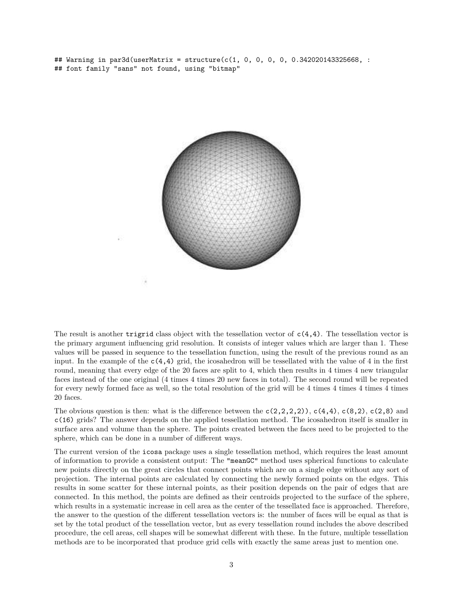## Warning in par3d(userMatrix = structure( $c(1, 0, 0, 0, 0, 0.342020143325668, :$ ## font family "sans" not found, using "bitmap"



The result is another trigrid class object with the tessellation vector of  $c(4,4)$ . The tessellation vector is the primary argument influencing grid resolution. It consists of integer values which are larger than 1. These values will be passed in sequence to the tessellation function, using the result of the previous round as an input. In the example of the  $c(4,4)$  grid, the icosahedron will be tessellated with the value of 4 in the first round, meaning that every edge of the 20 faces are split to 4, which then results in 4 times 4 new triangular faces instead of the one original (4 times 4 times 20 new faces in total). The second round will be repeated for every newly formed face as well, so the total resolution of the grid will be 4 times 4 times 4 times 4 times 20 faces.

The obvious question is then: what is the difference between the  $c(2,2,2,2)$ ,  $c(4,4)$ ,  $c(8,2)$ ,  $c(2,8)$  and c(16) grids? The answer depends on the applied tessellation method. The icosahedron itself is smaller in surface area and volume than the sphere. The points created between the faces need to be projected to the sphere, which can be done in a number of different ways.

The current version of the icosa package uses a single tessellation method, which requires the least amount of information to provide a consistent output: The "meanGC" method uses spherical functions to calculate new points directly on the great circles that connect points which are on a single edge without any sort of projection. The internal points are calculated by connecting the newly formed points on the edges. This results in some scatter for these internal points, as their position depends on the pair of edges that are connected. In this method, the points are defined as their centroids projected to the surface of the sphere, which results in a systematic increase in cell area as the center of the tessellated face is approached. Therefore, the answer to the question of the different tessellation vectors is: the number of faces will be equal as that is set by the total product of the tessellation vector, but as every tessellation round includes the above described procedure, the cell areas, cell shapes will be somewhat different with these. In the future, multiple tessellation methods are to be incorporated that produce grid cells with exactly the same areas just to mention one.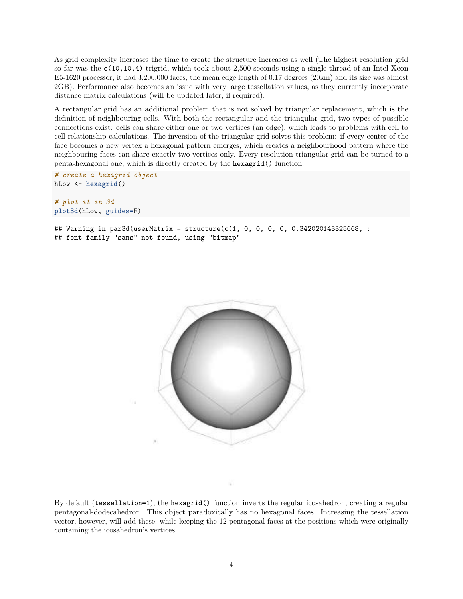As grid complexity increases the time to create the structure increases as well (The highest resolution grid so far was the c(10,10,4) trigrid, which took about 2,500 seconds using a single thread of an Intel Xeon E5-1620 processor, it had 3,200,000 faces, the mean edge length of 0.17 degrees (20km) and its size was almost 2GB). Performance also becomes an issue with very large tessellation values, as they currently incorporate distance matrix calculations (will be updated later, if required).

A rectangular grid has an additional problem that is not solved by triangular replacement, which is the definition of neighbouring cells. With both the rectangular and the triangular grid, two types of possible connections exist: cells can share either one or two vertices (an edge), which leads to problems with cell to cell relationship calculations. The inversion of the triangular grid solves this problem: if every center of the face becomes a new vertex a hexagonal pattern emerges, which creates a neighbourhood pattern where the neighbouring faces can share exactly two vertices only. Every resolution triangular grid can be turned to a penta-hexagonal one, which is directly created by the hexagrid() function.

```
# create a hexagrid object
hLow <- hexagrid()
```
*# plot it in 3d* **plot3d**(hLow, guides=F)

## Warning in par3d(userMatrix = structure(c(1, 0, 0, 0, 0, 0.342020143325668, : ## font family "sans" not found, using "bitmap"



By default (tessellation=1), the hexagrid() function inverts the regular icosahedron, creating a regular pentagonal-dodecahedron. This object paradoxically has no hexagonal faces. Increasing the tessellation vector, however, will add these, while keeping the 12 pentagonal faces at the positions which were originally containing the icosahedron's vertices.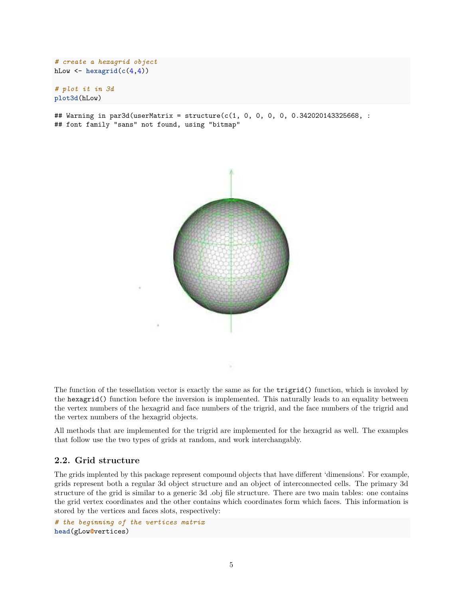```
# create a hexagrid object
hLow \leftarrow hexagrid(c(4,4))
```
*# plot it in 3d* **plot3d**(hLow)

## Warning in par3d(userMatrix = structure(c(1, 0, 0, 0, 0, 0.342020143325668, : ## font family "sans" not found, using "bitmap"



The function of the tessellation vector is exactly the same as for the trigrid() function, which is invoked by the hexagrid() function before the inversion is implemented. This naturally leads to an equality between the vertex numbers of the hexagrid and face numbers of the trigrid, and the face numbers of the trigrid and the vertex numbers of the hexagrid objects.

All methods that are implemented for the trigrid are implemented for the hexagrid as well. The examples that follow use the two types of grids at random, and work interchangably.

### **2.2. Grid structure**

The grids implented by this package represent compound objects that have different 'dimensions'. For example, grids represent both a regular 3d object structure and an object of interconnected cells. The primary 3d structure of the grid is similar to a generic 3d .obj file structure. There are two main tables: one contains the grid vertex coordinates and the other contains which coordinates form which faces. This information is stored by the vertices and faces slots, respectively:

*# the beginning of the vertices matrix* **head**(gLow**@**vertices)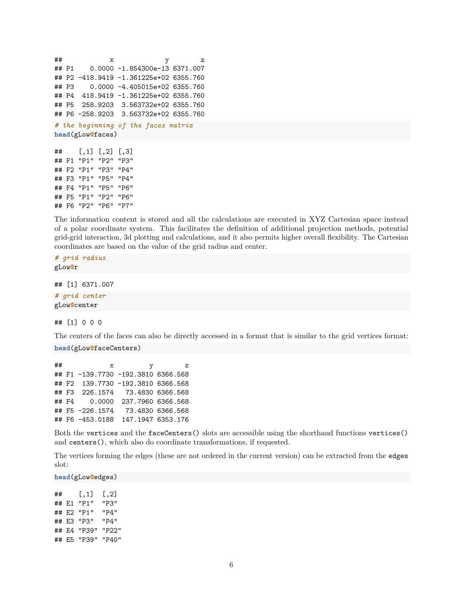```
## x y z
## P1 0.0000 -1.854300e-13 6371.007
## P2 -418.9419 -1.361225e+02 6355.760
## P3 0.0000 -4.405015e+02 6355.760
## P4 418.9419 -1.361225e+02 6355.760
## P5 258.9203 3.563732e+02 6355.760
## P6 -258.9203 3.563732e+02 6355.760
# the beginning of the faces matrix
head(gLow@faces)
## [,1] [,2] [,3]
## F1 "P1" "P2" "P3"
## F2 "P1" "P3" "P4"
## F3 "P1" "P5" "P4"
## F4 "P1" "P5" "P6"
## F5 "P1" "P2" "P6"
```
The information content is stored and all the calculations are executed in XYZ Cartesian space instead of a polar coordinate system. This facilitates the definition of additional projection methods, potential grid-grid interaction, 3d plotting and calculations, and it also permits higher overall flexibility. The Cartesian coordinates are based on the value of the grid radius and center.

*# grid radius* gLow**@**r

## F6 "P2" "P6" "P7"

## [1] 6371.007

*# grid center* gLow**@**center

## [1] 0 0 0

The centers of the faces can also be directly accessed in a format that is similar to the grid vertices format: **head**(gLow**@**faceCenters)

| ## |  | $\mathbf x$<br>v                   | z |
|----|--|------------------------------------|---|
|    |  | ## F1 -139.7730 -192.3810 6366.568 |   |
|    |  | ## F2 139.7730 -192.3810 6366.568  |   |
|    |  | ##F3 226.1574 73.4830 6366.568     |   |
|    |  | ##F4 0.0000 237.7960 6366.568      |   |
|    |  | ## F5 -226.1574 73.4830 6366.568   |   |
|    |  | ## F6 -453.0188 147.1947 6353.176  |   |

Both the vertices and the faceCenters() slots are accessible using the shorthand functions vertices() and centers(), which also do coordinate transformations, if requested.

The vertices forming the edges (these are not ordered in the current version) can be extracted from the edges slot:

**head**(gLow**@**edges)

## [,1] [,2] ## E1 "P1" "P3" ## E2 "P1" "P4" ## E3 "P3" "P4" ## E4 "P39" "P22" ## E5 "P39" "P40"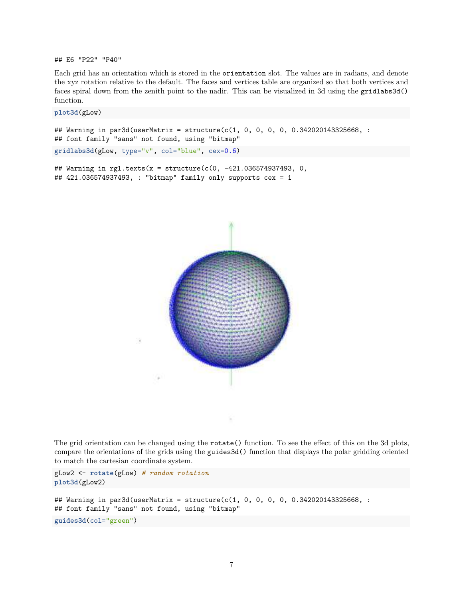## E6 "P22" "P40"

Each grid has an orientation which is stored in the orientation slot. The values are in radians, and denote the xyz rotation relative to the default. The faces and vertices table are organized so that both vertices and faces spiral down from the zenith point to the nadir. This can be visualized in 3d using the gridlabs3d() function.

**plot3d**(gLow)

```
## Warning in par3d(userMatrix = structure(c(1, 0, 0, 0, 0, 0.342020143325668, :
## font family "sans" not found, using "bitmap"
gridlabs3d(gLow, type="v", col="blue", cex=0.6)
```

```
## Warning in rgl.texts(x = structure(c(0, -421.036574937493, 0,## 421.036574937493, : "bitmap" family only supports cex = 1
```


The grid orientation can be changed using the rotate() function. To see the effect of this on the 3d plots, compare the orientations of the grids using the guides3d() function that displays the polar gridding oriented to match the cartesian coordinate system.

```
gLow2 <- rotate(gLow) # random rotation
plot3d(gLow2)
```

```
## Warning in par3d(userMatrix = structure(c(1, 0, 0, 0, 0, 0.342020143325668, :
## font family "sans" not found, using "bitmap"
guides3d(col="green")
```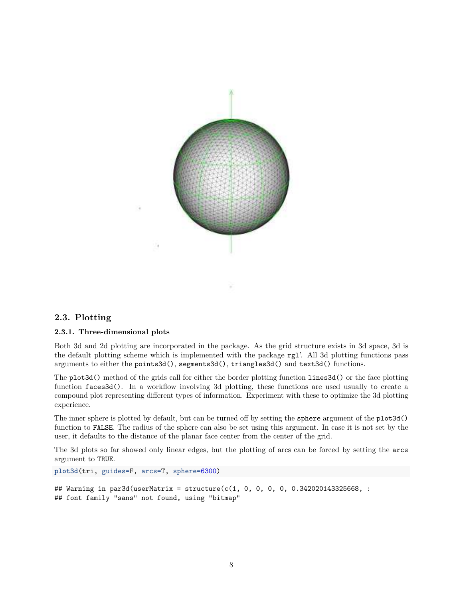

### **2.3. Plotting**

#### **2.3.1. Three-dimensional plots**

Both 3d and 2d plotting are incorporated in the package. As the grid structure exists in 3d space, 3d is the default plotting scheme which is implemented with the package rgl'. All 3d plotting functions pass arguments to either the points3d(), segments3d(), triangles3d() and text3d() functions.

The plot3d() method of the grids call for either the border plotting function lines3d() or the face plotting function faces3d(). In a workflow involving 3d plotting, these functions are used usually to create a compound plot representing different types of information. Experiment with these to optimize the 3d plotting experience.

The inner sphere is plotted by default, but can be turned off by setting the sphere argument of the plot3d() function to FALSE. The radius of the sphere can also be set using this argument. In case it is not set by the user, it defaults to the distance of the planar face center from the center of the grid.

The 3d plots so far showed only linear edges, but the plotting of arcs can be forced by setting the arcs argument to TRUE.

```
plot3d(tri, guides=F, arcs=T, sphere=6300)
```

```
## Warning in par3d(userMatrix = structure(c(1, 0, 0, 0, 0, 0.342020143325668, :
## font family "sans" not found, using "bitmap"
```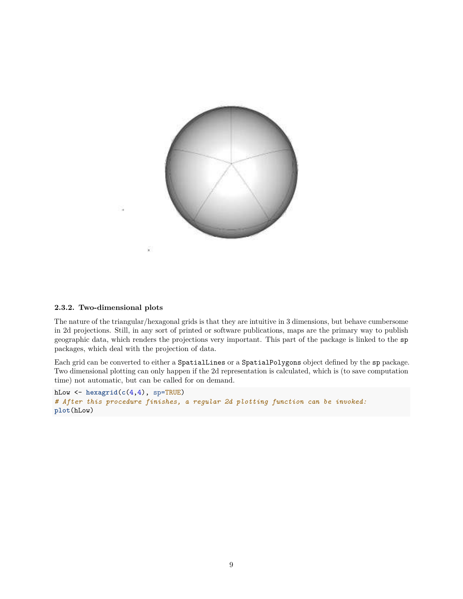

### **2.3.2. Two-dimensional plots**

The nature of the triangular/hexagonal grids is that they are intuitive in 3 dimensions, but behave cumbersome in 2d projections. Still, in any sort of printed or software publications, maps are the primary way to publish geographic data, which renders the projections very important. This part of the package is linked to the sp packages, which deal with the projection of data.

Each grid can be converted to either a SpatialLines or a SpatialPolygons object defined by the sp package. Two dimensional plotting can only happen if the 2d representation is calculated, which is (to save computation time) not automatic, but can be called for on demand.

```
hLow <- hexagrid(c(4,4), sp=TRUE)
# After this procedure finishes, a regular 2d plotting function can be invoked:
plot(hLow)
```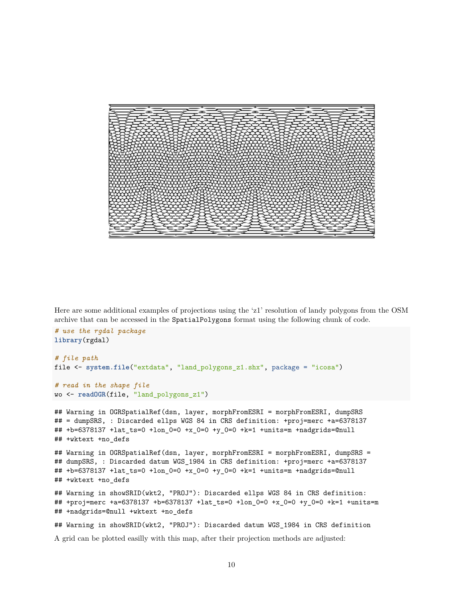

Here are some additional examples of projections using the 'z1' resolution of landy polygons from the OSM archive that can be accessed in the SpatialPolygons format using the following chunk of code.

```
# use the rgdal package
library(rgdal)
# file path
file <- system.file("extdata", "land_polygons_z1.shx", package = "icosa")
# read in the shape file
wo <- readOGR(file, "land_polygons_z1")
## Warning in OGRSpatialRef(dsn, layer, morphFromESRI = morphFromESRI, dumpSRS
## = dumpSRS, : Discarded ellps WGS 84 in CRS definition: +proj=merc +a=6378137
## +b=6378137 +lat_ts=0 +lon_0=0 +x_0=0 +y_0=0 +k=1 +units=m +nadgrids=@null
## +wktext +no_defs
## Warning in OGRSpatialRef(dsn, layer, morphFromESRI = morphFromESRI, dumpSRS =
## dumpSRS, : Discarded datum WGS_1984 in CRS definition: +proj=merc +a=6378137
## +b=6378137 +lat_ts=0 +lon_0=0 +x_0=0 +y_0=0 +k=1 +units=m +nadgrids=@null
## +wktext +no_defs
## Warning in showSRID(wkt2, "PROJ"): Discarded ellps WGS 84 in CRS definition:
## +proj=merc +a=6378137 +b=6378137 +lat_ts=0 +lon_0=0 +x_0=0 +y_0=0 +k=1 +units=m
## +nadgrids=@null +wktext +no_defs
## Warning in showSRID(wkt2, "PROJ"): Discarded datum WGS_1984 in CRS definition
```
A grid can be plotted easilly with this map, after their projection methods are adjusted: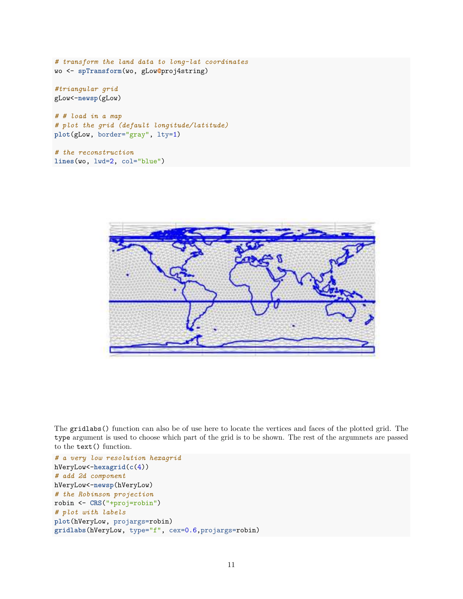*# transform the land data to long-lat coordinates* wo <- **spTransform**(wo, gLow**@**proj4string)

*#triangular grid* gLow<-**newsp**(gLow)

*# # load in a map # plot the grid (default longitude/latitude)* **plot**(gLow, border="gray", lty=1)

*# the reconstruction* **lines**(wo, lwd=2, col="blue")



The gridlabs() function can also be of use here to locate the vertices and faces of the plotted grid. The type argument is used to choose which part of the grid is to be shown. The rest of the argumnets are passed to the text() function.

```
# a very low resolution hexagrid
hVeryLow<-hexagrid(c(4))
# add 2d component
hVeryLow<-newsp(hVeryLow)
# the Robinson projection
robin <- CRS("+proj=robin")
# plot with labels
plot(hVeryLow, projargs=robin)
gridlabs(hVeryLow, type="f", cex=0.6,projargs=robin)
```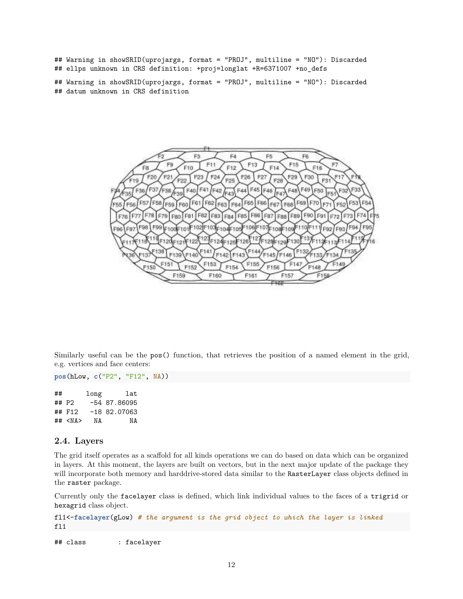## Warning in showSRID(uprojargs, format = "PROJ", multiline = "NO"): Discarded ## ellps unknown in CRS definition: +proj=longlat +R=6371007 +no\_defs

## Warning in showSRID(uprojargs, format = "PROJ", multiline = "NO"): Discarded ## datum unknown in CRS definition



Similarly useful can be the pos() function, that retrieves the position of a named element in the grid, e.g. vertices and face centers:

**pos**(hLow, **c**("P2", "F12", NA))

## long lat ## P2 -54 87.86095 ## F12 -18 82.07063 ## <NA> NA NA

#### **2.4. Layers**

The grid itself operates as a scaffold for all kinds operations we can do based on data which can be organized in layers. At this moment, the layers are built on vectors, but in the next major update of the package they will incorporate both memory and harddrive-stored data similar to the RasterLayer class objects defined in the raster package.

Currently only the facelayer class is defined, which link individual values to the faces of a trigrid or hexagrid class object.

fl1<-**facelayer**(gLow) *# the argument is the grid object to which the layer is linked* fl1

## class : facelayer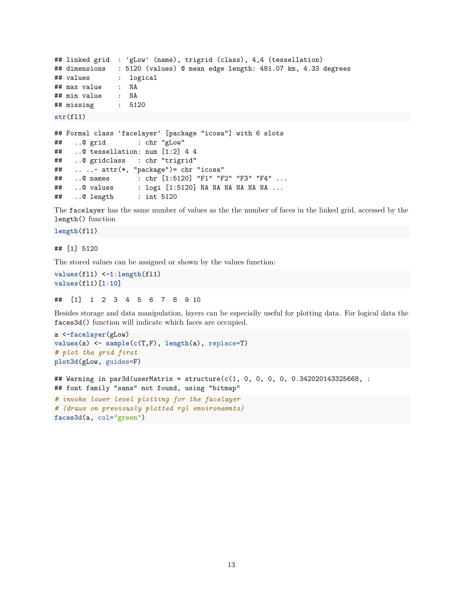```
## linked grid : 'gLow' (name), trigrid (class), 4,4 (tessellation)
## dimensions : 5120 (values) @ mean edge length: 481.07 km, 4.33 degrees
## values : logical
## max value
## min value : NA
## missing : 5120
str(fl1)
```

```
## Formal class 'facelayer' [package "icosa"] with 6 slots
## ..@ grid : chr "gLow"
## ..@ tessellation: num [1:2] 4 4
## ..@ gridclass : chr "trigrid"
## .. ..- attr(*, "package")= chr "icosa"
## ..@ names : chr [1:5120] "F1" "F2" "F3" "F4" ...
## ..@ values : logi [1:5120] NA NA NA NA NA NA ...
## ..@ length : int 5120
```
The facelayer has the same number of values as the the number of faces in the linked grid, accessed by the length() function

#### **length**(fl1)

#### ## [1] 5120

The stored values can be assigned or shown by the values function:

```
values(fl1) <-1:length(fl1)
values(fl1)[1:10]
```
## [1] 1 2 3 4 5 6 7 8 9 10

Besides storage and data manipulation, layers can be especially useful for plotting data. For logical data the faces3d() function will indicate which faces are occupied.

```
a <-facelayer(gLow)
values(a) <- sample(c(T,F), length(a), replace=T)
# plot the grid first
plot3d(gLow, guides=F)
```

```
## Warning in par3d(userMatrix = structure(c(1, 0, 0, 0, 0, 0.342020143325668, :
## font family "sans" not found, using "bitmap"
```

```
# invoke lower level plotting for the facelayer
# (draws on previously plotted rgl environemnts)
faces3d(a, col="green")
```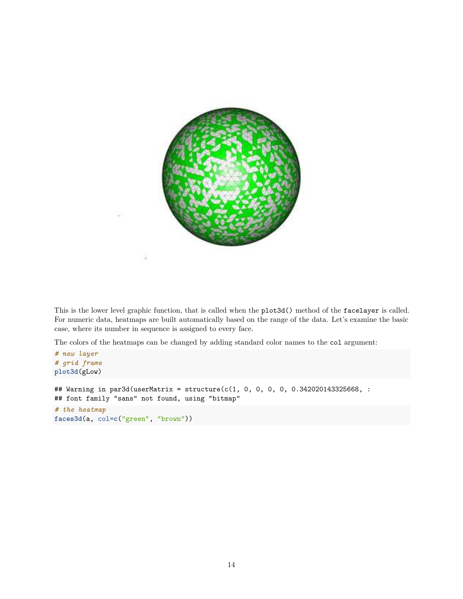

This is the lower level graphic function, that is called when the plot3d() method of the facelayer is called. For numeric data, heatmaps are built automatically based on the range of the data. Let's examine the basic case, where its number in sequence is assigned to every face.

The colors of the heatmaps can be changed by adding standard color names to the col argument:

```
# new layer
# grid frame
plot3d(gLow)
## Warning in par3d(userMatrix = structure(c(1, 0, 0, 0, 0, 0.342020143325668, :
## font family "sans" not found, using "bitmap"
# the heatmap
faces3d(a, col=c("green", "brown"))
```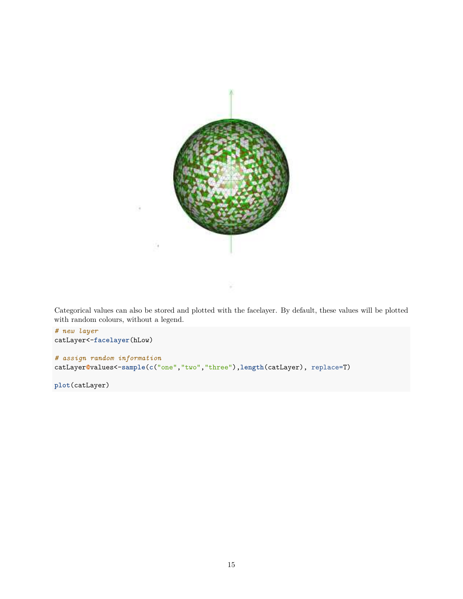

Categorical values can also be stored and plotted with the facelayer. By default, these values will be plotted with random colours, without a legend.

```
# new layer
catLayer<-facelayer(hLow)
# assign random information
catLayer@values<-sample(c("one","two","three"),length(catLayer), replace=T)
```
**plot**(catLayer)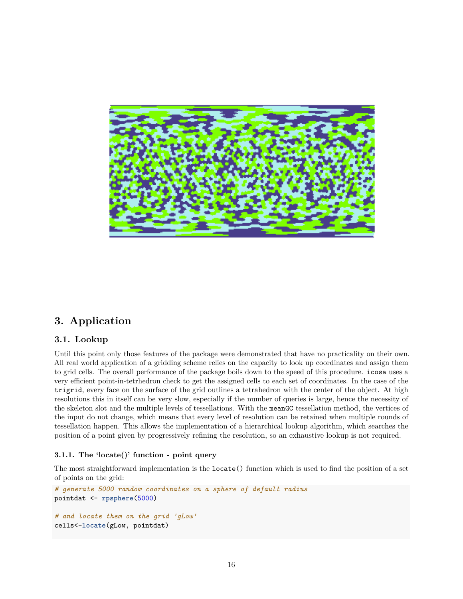

# **3. Application**

### **3.1. Lookup**

Until this point only those features of the package were demonstrated that have no practicality on their own. All real world application of a gridding scheme relies on the capacity to look up coordinates and assign them to grid cells. The overall performance of the package boils down to the speed of this procedure. icosa uses a very efficient point-in-tetrhedron check to get the assigned cells to each set of coordinates. In the case of the trigrid, every face on the surface of the grid outlines a tetrahedron with the center of the object. At high resolutions this in itself can be very slow, especially if the number of queries is large, hence the necessity of the skeleton slot and the multiple levels of tessellations. With the meanGC tessellation method, the vertices of the input do not change, which means that every level of resolution can be retained when multiple rounds of tessellation happen. This allows the implementation of a hierarchical lookup algorithm, which searches the position of a point given by progressively refining the resolution, so an exhaustive lookup is not required.

### **3.1.1. The 'locate()' function - point query**

The most straightforward implementation is the locate() function which is used to find the position of a set of points on the grid:

```
# generate 5000 random coordinates on a sphere of default radius
pointdat <- rpsphere(5000)
# and locate them on the grid 'gLow'
cells<-locate(gLow, pointdat)
```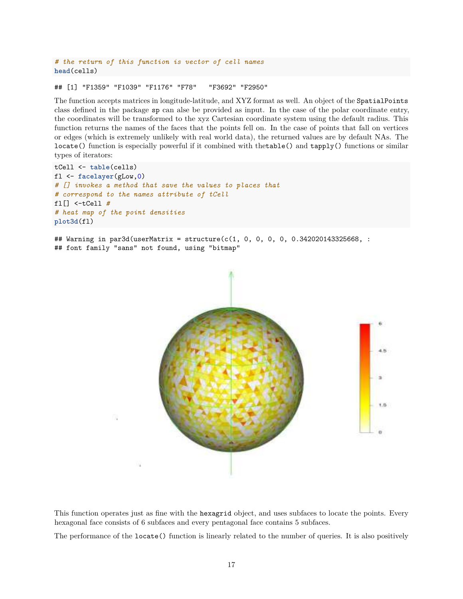*# the return of this function is vector of cell names* **head**(cells)

## [1] "F1359" "F1039" "F1176" "F78" "F3692" "F2950"

The function accepts matrices in longitude-latitude, and XYZ format as well. An object of the SpatialPoints class defined in the package sp can alse be provided as input. In the case of the polar coordinate entry, the coordinates will be transformed to the xyz Cartesian coordinate system using the default radius. This function returns the names of the faces that the points fell on. In the case of points that fall on vertices or edges (which is extremely unlikely with real world data), the returned values are by default NAs. The locate() function is especially powerful if it combined with thetable() and tapply() functions or similar types of iterators:

```
tCell <- table(cells)
fl <- facelayer(gLow,0)
# [] invokes a method that save the values to places that
# correspond to the names attribute of tCell
fl[] <-tCell #
# heat map of the point densities
plot3d(fl)
```
## Warning in par3d(userMatrix = structure(c(1, 0, 0, 0, 0, 0.342020143325668, : ## font family "sans" not found, using "bitmap"



This function operates just as fine with the hexagrid object, and uses subfaces to locate the points. Every hexagonal face consists of 6 subfaces and every pentagonal face contains 5 subfaces.

The performance of the locate() function is linearly related to the number of queries. It is also positively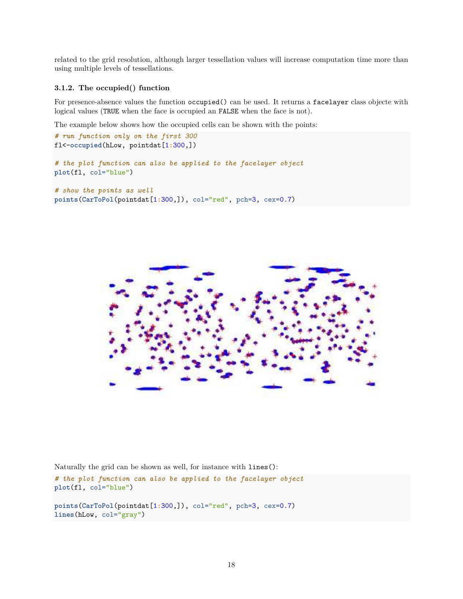related to the grid resolution, although larger tessellation values will increase computation time more than using multiple levels of tessellations.

#### **3.1.2. The occupied() function**

For presence-absence values the function occupied() can be used. It returns a facelayer class objecte with logical values (TRUE when the face is occupied an FALSE when the face is not).

The example below shows how the occupied cells can be shown with the points:

```
# run function only on the first 300
fl<-occupied(hLow, pointdat[1:300,])
```

```
# the plot function can also be applied to the facelayer object
plot(fl, col="blue")
```

```
# show the points as well
points(CarToPol(pointdat[1:300,]), col="red", pch=3, cex=0.7)
```


Naturally the grid can be shown as well, for instance with lines():

*# the plot function can also be applied to the facelayer object* **plot**(fl, col="blue")

**points**(**CarToPol**(pointdat[1**:**300,]), col="red", pch=3, cex=0.7) **lines**(hLow, col="gray")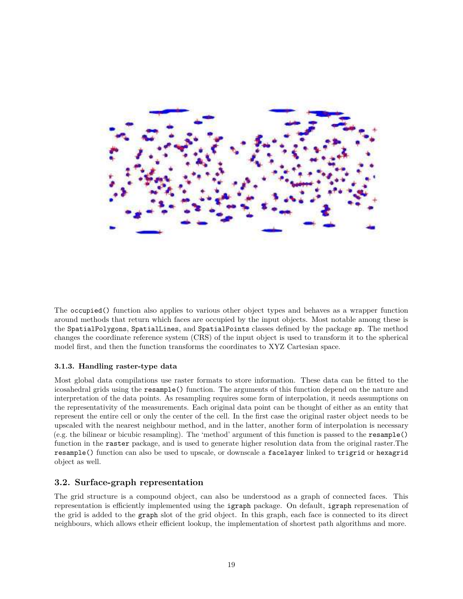

The occupied() function also applies to various other object types and behaves as a wrapper function around methods that return which faces are occupied by the input objects. Most notable among these is the SpatialPolygons, SpatialLines, and SpatialPoints classes defined by the package sp. The method changes the coordinate reference system (CRS) of the input object is used to transform it to the spherical model first, and then the function transforms the coordinates to XYZ Cartesian space.

### **3.1.3. Handling raster-type data**

Most global data compilations use raster formats to store information. These data can be fitted to the icosahedral grids using the resample() function. The arguments of this function depend on the nature and interpretation of the data points. As resampling requires some form of interpolation, it needs assumptions on the representativity of the measurements. Each original data point can be thought of either as an entity that represent the entire cell or only the center of the cell. In the first case the original raster object needs to be upscaled with the nearest neighbour method, and in the latter, another form of interpolation is necessary (e.g. the bilinear or bicubic resampling). The 'method' argument of this function is passed to the resample() function in the raster package, and is used to generate higher resolution data from the original raster.The resample() function can also be used to upscale, or downscale a facelayer linked to trigrid or hexagrid object as well.

### **3.2. Surface-graph representation**

The grid structure is a compound object, can also be understood as a graph of connected faces. This representation is efficiently implemented using the igraph package. On default, igraph represenation of the grid is added to the graph slot of the grid object. In this graph, each face is connected to its direct neighbours, which allows etheir efficient lookup, the implementation of shortest path algorithms and more.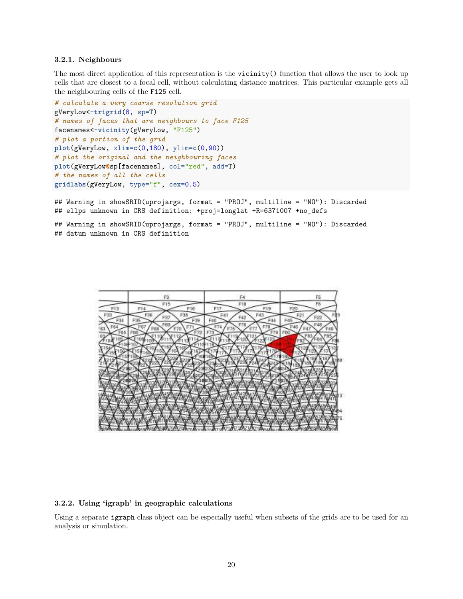#### **3.2.1. Neighbours**

The most direct application of this representation is the vicinity() function that allows the user to look up cells that are closest to a focal cell, without calculating distance matrices. This particular example gets all the neighbouring cells of the F125 cell.

```
# calculate a very coarse resolution grid
gVeryLow<-trigrid(8, sp=T)
# names of faces that are neighbours to face F125
facenames<-vicinity(gVeryLow, "F125")
# plot a portion of the grid
plot(gVeryLow, xlim=c(0,180), ylim=c(0,90))
# plot the original and the neighbouring faces
plot(gVeryLow@sp[facenames], col="red", add=T)
# the names of all the cells
gridlabs(gVeryLow, type="f", cex=0.5)
```
## Warning in showSRID(uprojargs, format = "PROJ", multiline = "NO"): Discarded ## ellps unknown in CRS definition: +proj=longlat +R=6371007 +no\_defs

## Warning in showSRID(uprojargs, format = "PROJ", multiline = "NO"): Discarded ## datum unknown in CRS definition



### **3.2.2. Using 'igraph' in geographic calculations**

Using a separate igraph class object can be especially useful when subsets of the grids are to be used for an analysis or simulation.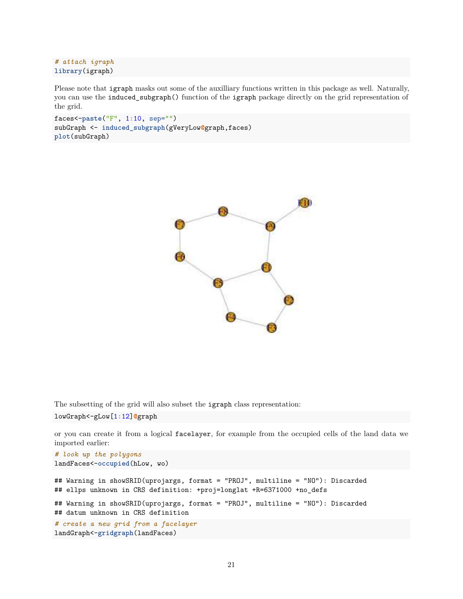```
# attach igraph
library(igraph)
```
Please note that igraph masks out some of the auxilliary functions written in this package as well. Naturally, you can use the induced\_subgraph() function of the igraph package directly on the grid representation of the grid.

```
faces<-paste("F", 1:10, sep="")
subGraph <- induced_subgraph(gVeryLow@graph,faces)
plot(subGraph)
```


The subsetting of the grid will also subset the igraph class representation:

lowGraph<-gLow[1**:**12]**@**graph

or you can create it from a logical facelayer, for example from the occupied cells of the land data we imported earlier:

```
# look up the polygons
landFaces<-occupied(hLow, wo)
## Warning in showSRID(uprojargs, format = "PROJ", multiline = "NO"): Discarded
## ellps unknown in CRS definition: +proj=longlat +R=6371000 +no_defs
## Warning in showSRID(uprojargs, format = "PROJ", multiline = "NO"): Discarded
## datum unknown in CRS definition
# create a new grid from a facelayer
landGraph<-gridgraph(landFaces)
```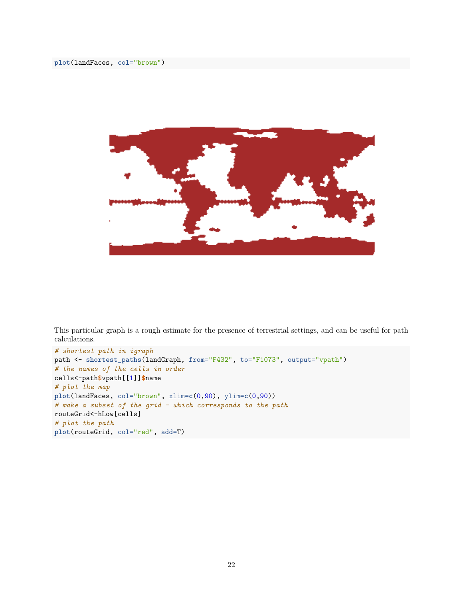

This particular graph is a rough estimate for the presence of terrestrial settings, and can be useful for path calculations.

```
# shortest path in igraph
path <- shortest_paths(landGraph, from="F432", to="F1073", output="vpath")
# the names of the cells in order
cells<-path$vpath[[1]]$name
# plot the map
plot(landFaces, col="brown", xlim=c(0,90), ylim=c(0,90))
# make a subset of the grid - which corresponds to the path
routeGrid<-hLow[cells]
# plot the path
plot(routeGrid, col="red", add=T)
```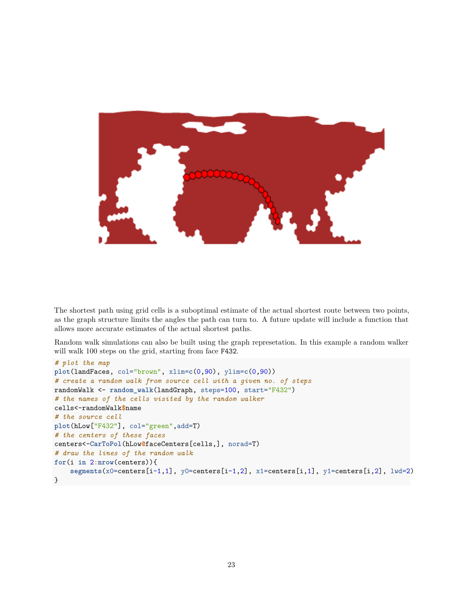

The shortest path using grid cells is a suboptimal estimate of the actual shortest route between two points, as the graph structure limits the angles the path can turn to. A future update will include a function that allows more accurate estimates of the actual shortest paths.

Random walk simulations can also be built using the graph represetation. In this example a random walker will walk 100 steps on the grid, starting from face F432.

```
# plot the map
plot(landFaces, col="brown", xlim=c(0,90), ylim=c(0,90))
# create a random walk from source cell with a given no. of steps
randomWalk <- random_walk(landGraph, steps=100, start="F432")
# the names of the cells visited by the random walker
cells<-randomWalk$name
# the source cell
plot(hLow["F432"], col="green",add=T)
# the centers of these faces
centers<-CarToPol(hLow@faceCenters[cells,], norad=T)
# draw the lines of the random walk
for(i in 2:nrow(centers)){
    segments(x0=centers[i-1,1], y0=centers[i-1,2], x1=centers[i,1], y1=centers[i,2], lwd=2)
}
```